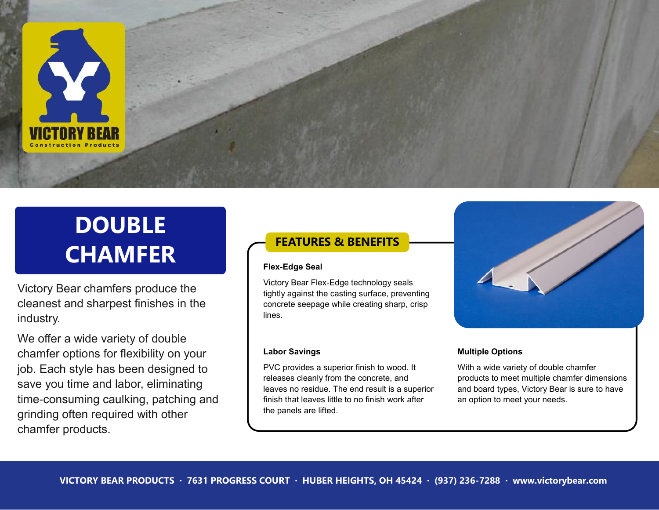

# **DOUBLE CHAMFER**

Victory Bear chamfers produce the cleanest and sharpest finishes in the industry.

We offer a wide variety of double chamfer options for flexibility on your job. Each style has been designed to save you time and labor, eliminating time-consuming caulking, patching and grinding often required with other chamfer products.

# **FEATURES & BENEFITS**

#### **Flex-Edge Seal**

Victory Bear Flex-Edge technology seals tightly against the casting surface, preventing concrete seepage while creating sharp, crisp lines.

### **Labor Savings**

PVC provides a superior finish to wood. It releases cleanly from the concrete, and leaves no residue. The end result is a superior finish that leaves little to no finish work after the panels are lifted.



### **Multiple Options**

With a wide variety of double chamfer products to meet multiple chamfer dimensions and board types, Victory Bear is sure to have an option to meet your needs.